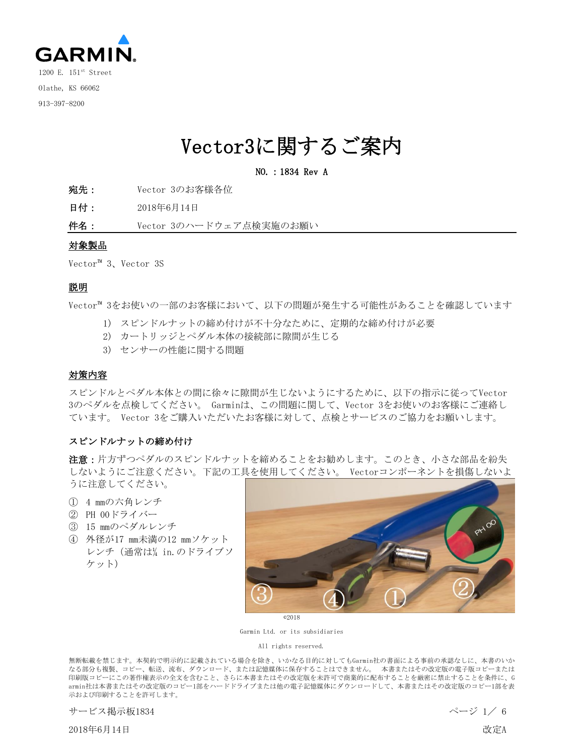

## Vector3に関するご案内

### NO.:1834 Rev A

- 宛先: Vector 3のお客様各位
- 日付: 2018年6月14日
- 件名: Vector 3のハードウェア点検実施のお願い

### 対象製品

Vector™ 3、Vector 3S

## 説明

Vector™ 3をお使いの一部のお客様において、以下の問題が発生する可能性があることを確認しています

- 1) スピンドルナットの締め付けが不十分なために、定期的な締め付けが必要
- 2) カートリッジとペダル本体の接続部に隙間が生じる
- 3) センサーの性能に関する問題

### 対策内容

スピンドルとペダル本体との間に徐々に隙間が生じないようにするために、以下の指示に従ってVector 3のペダルを点検してください。 Garminは、この問題に関して、Vector 3をお使いのお客様にご連絡し ています。 Vector 3をご購入いただいたお客様に対して、点検とサービスのご協力をお願いします。

### スピンドルナットの締め付け

注意:片方ずつペダルのスピンドルナットを締めることをお勧めします。このとき、小さな部品を紛失 しないようにご注意ください。下記の工具を使用してください。 Vectorコンポーネントを損傷しないよ うに注意してください。

- ① 4 mmの六角レンチ
- ② PH 00ドライバー
- ③ 15 mmのペダルレンチ
- ④ 外径が17 mm未満の12 mmソケット レンチ(通常は¼ in.のドライブソ ケット)



©2018

Garmin Ltd. or its subsidiaries

All rights reserved.

無断転載を禁じます。本契約で明示的に記載されている場合を除き、いかなる目的に対してもGarmin社の書面による事前の承認なしに、本書のいか なる部分も複製、コピー、転送、流布、ダウンロード、または記憶媒体に保存することはできません。 本書またはその改定版の電子版コピーまたは 印刷版コピーにこの著作権表示の全文を含むこと、さらに本書またはその改定版を未許可で商業的に配布することを厳密に禁止することを条件に、G armin社は本書またはその改定版のコピー1部をハードドライブまたは他の電子記憶媒体にダウンロードして、本書またはその改定版のコピー1部を表 示および印刷することを許可します。

```
サービス掲示板1834 ページ 1/ 6
```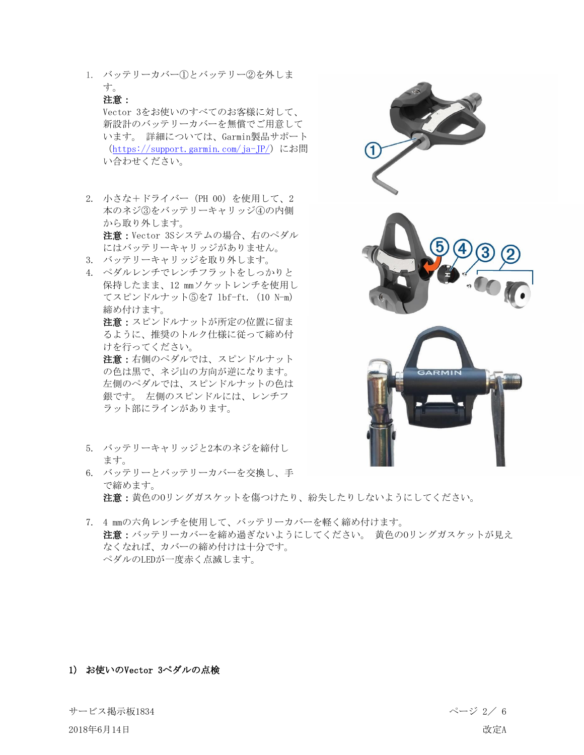1. バッテリーカバー①とバッテリー②を外しま す。

## 注意:

Vector 3をお使いのすべてのお客様に対して、 新設計のバッテリーカバーを無償でご用意して います。 詳細については、Garmin製品サポート (<https://support.garmin.com/ja-JP/>)にお問 い合わせください。

- 2. 小さな+ドライバー(PH 00)を使用して、2 本のネジ③をバッテリーキャリッジ④の内側 から取り外します。 注意:Vector 3Sシステムの場合、右のペダル にはバッテリーキャリッジがありません。 3. バッテリーキャリッジを取り外します。
- 4. ペダルレンチでレンチフラットをしっかりと 保持したまま、12 mmソケットレンチを使用し てスピンドルナット⑤を7 lbf-ft.(10 N-m) 締め付けます。

注意:スピンドルナットが所定の位置に留ま るように、推奨のトルク仕様に従って締め付 けを行ってください。

注意:右側のペダルでは、スピンドルナット の色は黒で、ネジ山の方向が逆になります。 左側のペダルでは、スピンドルナットの色は 銀です。 左側のスピンドルには、レンチフ ラット部にラインがあります。

- 5. バッテリーキャリッジと2本のネジを締付し ます。
- 6. バッテリーとバッテリーカバーを交換し、手 で締めます。 注意:黄色のOリングガスケットを傷つけたり、紛失したりしないようにしてください。
- 7. 4 mmの六角レンチを使用して、バッテリーカバーを軽く締め付けます。 注意:バッテリーカバーを締め過ぎないようにしてください。 黄色のOリングガスケットが見え なくなれば、カバーの締め付けは十分です。 ペダルのLEDが一度赤く点滅します。

## 1) お使いのVector 3ペダルの点検

サービス掲示板1834 ページ 2/ 6

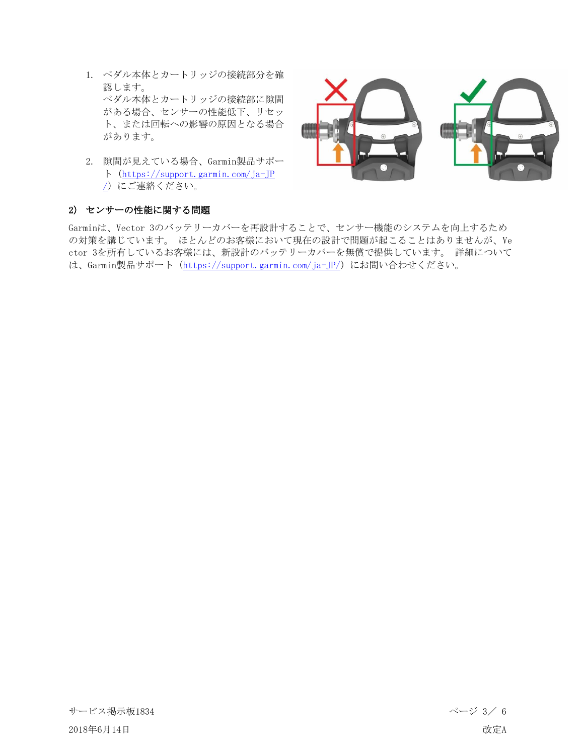- 1. ペダル本体とカートリッジの接続部分を確 認します。 ペダル本体とカートリッジの接続部に隙間 がある場合、センサーの性能低下、リセッ ト、または回転への影響の原因となる場合 があります。
- 2. 隙間が見えている場合、Garmin製品サポー ト([https://support.garmin.com/ja-JP](https://support.garmin.com/ja-JP/) [/](https://support.garmin.com/ja-JP/))にご連絡ください。



## 2) センサーの性能に関する問題

Garminは、Vector 3のバッテリーカバーを再設計することで、センサー機能のシステムを向上するため の対策を講じています。 ほとんどのお客様において現在の設計で問題が起こることはありませんが、Ve ctor 3を所有しているお客様には、新設計のバッテリーカバーを無償で提供しています。 詳細について は、Garmin製品サポート (<https://support.garmin.com/ja-JP/>) にお問い合わせください。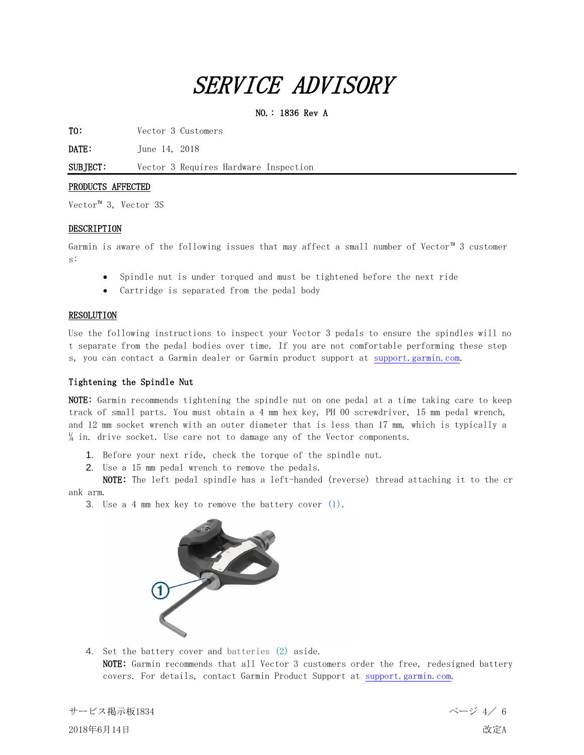# SERVICE ADVISORY

### NO.: 1836 Rev A

TO: Vector 3 Customers

**DATE:** June 14, 2018

SUBJECT: Vector 3 Requires Hardware Inspection

### PRODUCTS AFFECTED

Vector™ 3, Vector 3S

### DESCRIPTION

Garmin is aware of the following issues that may affect a small number of Vector™ 3 customer s:

- Spindle nut is under torqued and must be tightened before the next ride
- Cartridge is separated from the pedal body

### RESOLUTION

Use the following instructions to inspect your Vector 3 pedals to ensure the spindles will no t separate from the pedal bodies over time. If you are not comfortable performing these step s, you can contact a Garmin dealer or Garmin product support at [support.garmin.com.](https://support.garmin.com/)

### Tightening the Spindle Nut

NOTE: Garmin recommends tightening the spindle nut on one pedal at a time taking care to keep track of small parts. You must obtain a 4 mm hex key, PH 00 screwdriver, 15 mm pedal wrench, and 12 mm socket wrench with an outer diameter that is less than 17 mm, which is typically a  $\frac{1}{4}$  in. drive socket. Use care not to damage any of the Vector components.

- 1. Before your next ride, check the torque of the spindle nut.
- 2. Use a 15 mm pedal wrench to remove the pedals.

NOTE: The left pedal spindle has a left-handed (reverse) thread attaching it to the cr ank arm.

3. Use a 4 mm hex key to remove the battery cover (1).



4. Set the battery cover and batteries (2) aside. NOTE: Garmin recommends that all Vector 3 customers order the free, redesigned battery covers. For details, contact Garmin Product Support at [support.garmin.com.](https://support.garmin.com/)

サービス掲示板1834 ページ 4/ 6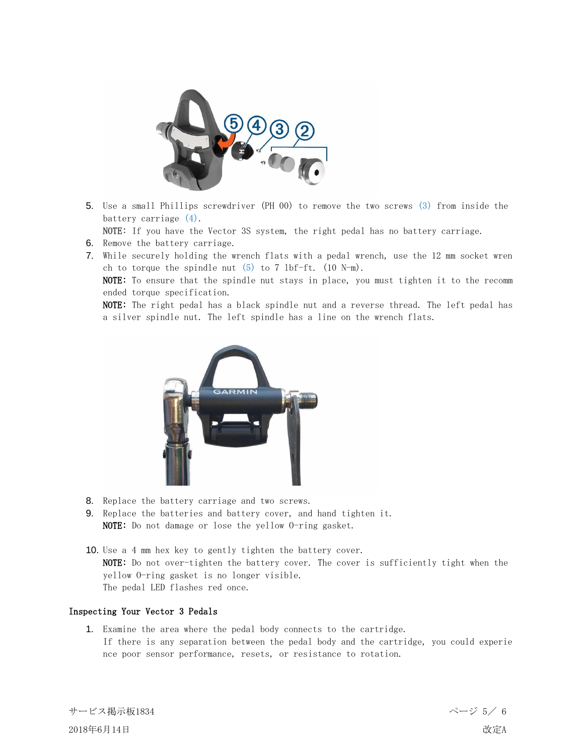

5. Use a small Phillips screwdriver (PH 00) to remove the two screws (3) from inside the battery carriage (4).

NOTE: If you have the Vector 3S system, the right pedal has no battery carriage.

- 6. Remove the battery carriage.
- 7. While securely holding the wrench flats with a pedal wrench, use the 12 mm socket wren ch to torque the spindle nut  $(5)$  to 7 lbf-ft.  $(10 \text{ N-m})$ .

NOTE: To ensure that the spindle nut stays in place, you must tighten it to the recomm ended torque specification.

NOTE: The right pedal has a black spindle nut and a reverse thread. The left pedal has a silver spindle nut. The left spindle has a line on the wrench flats.



- 8. Replace the battery carriage and two screws.
- 9. Replace the batteries and battery cover, and hand tighten it. NOTE: Do not damage or lose the yellow O-ring gasket.
- 10. Use a 4 mm hex key to gently tighten the battery cover. NOTE: Do not over-tighten the battery cover. The cover is sufficiently tight when the yellow O-ring gasket is no longer visible. The pedal LED flashes red once.

### Inspecting Your Vector 3 Pedals

1. Examine the area where the pedal body connects to the cartridge. If there is any separation between the pedal body and the cartridge, you could experie nce poor sensor performance, resets, or resistance to rotation.

サービス掲示板1834 ページ 5/ 6